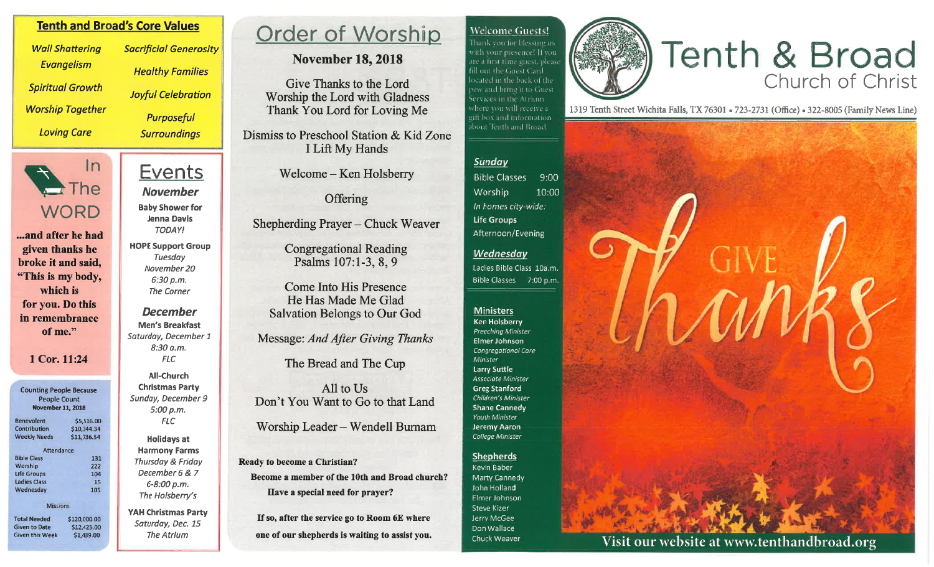## **Welcome Guests!**

Thank you for blessing uswith your presence! If you are a first time guest, please fill out the Guest Card located in the back of the pew and bring it to Guest. Services in the Atrium. where you will receive a gift box and information. about Tenth and Broad.

# Tenth & Broad

1319 Tenth Street Wichita Falls, TX 76301 . 723-2731 (Office) . 322-8005 (Family News Line)



Visit our website at www.tenthandbroad.org

#### Sunday

**Bible Classes**  $9:00$ Worship 10:00 In homes city-wide: **Life Groups** Afternoon/Evening

#### Wednesday

Ladies Bible Class 10a.m. **Bible Classes** 7:00 p.m.

#### **Ministers**

**Ken Holsberry** Preaching Minister Elmer Johnson Congregational Care Minister Larry Suttle Associate Minister **Greg Stanford** Children's Minister **Shane Cannedy** Youth Minister **Jeremy Aaron** College Minister

#### **Shepherds**

Kevin Baber Marty Cannedy John Holland Elmer Johnson Steve Kizer Jerry McGee Don Wallace Chuck Weaver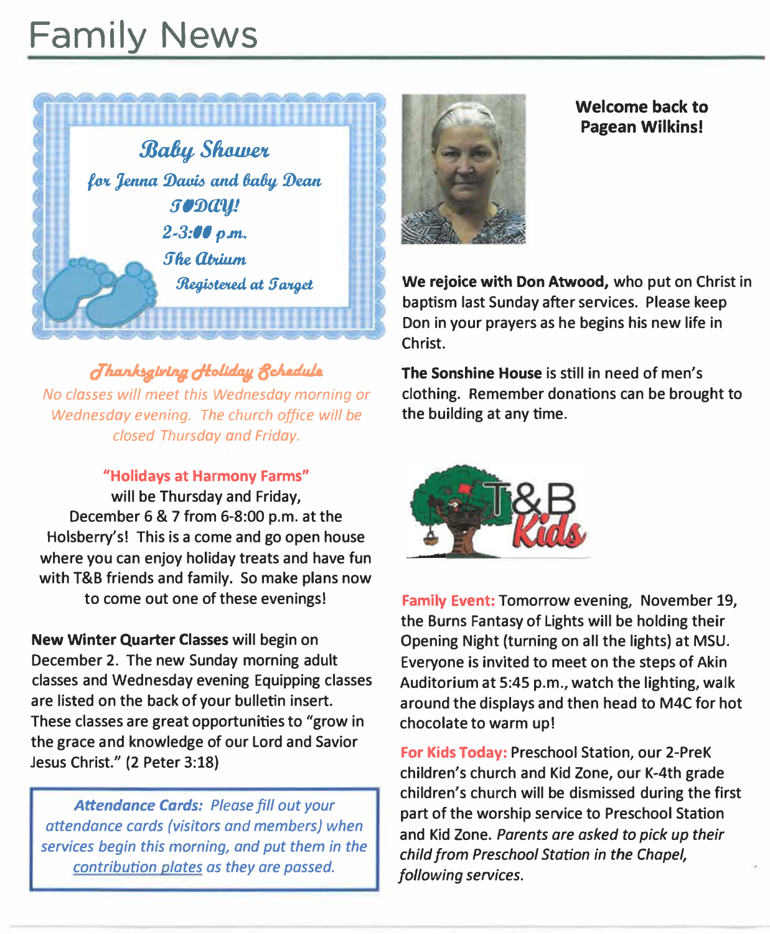# **Family News**



*oluuJdawuw dlolulalJ, 8cA.dule No classes will meet this Wednesday morning or Wednesday evening. The church office will be closed Thursday and Friday.* 

**"Holidays at Harmony Farms"** 

**will be Thursday and Friday, December 6 & 7 from 6-8:00 p.m. at the Holsberry's! This is a come and go open house where you can enjoy holiday treats and have fun with T&B friends and family. So make plans now to come out one of these evenings!** 

**New Winter Quarter Classes will begin on December 2. The new Sunday morning adult classes and Wednesday evening Equipping classes are listed on the back of your bulletin insert. These classes are great opportunities to "grow in the grace and knowledge of our Lord and Savior Jesus Christ." (2 Peter 3:18}** 

*Attendance Cards: Please fill out your attendance cards (visitors and members) when services begin this morning, and put them in the contribution plates as they are passed.* 



**Welcome back to Pagean Wilkins!** 

**We rejoice with Don Atwood, who put on Christ in baptism last Sunday after services. Please keep Don in your prayers as he begins his new life in Christ.** 

**The Sonshine House is still in need of men's clothing. Remember donations can be brought to the building at any time.** 



**Family Event: Tomorrow evening, November 19, the Burns Fantasy of Lights will be holding their Opening Night (turning on all the lights) at MSU. Everyone is invited to meet on the steps of Akin Auditorium at 5:45 p.m., watch the lighting, walk around the displays and then head to M4C for hot chocolate to warm up!** 

**For Kids Today: Preschool Station, our 2-PreK children's church and Kid Zone, our K-4th grade children's church will be dismissed during the first part of the worship service to Preschool Station and Kid Zone.** *Parents are asked to pick up their child from Preschool Station in the Chapel, following services.*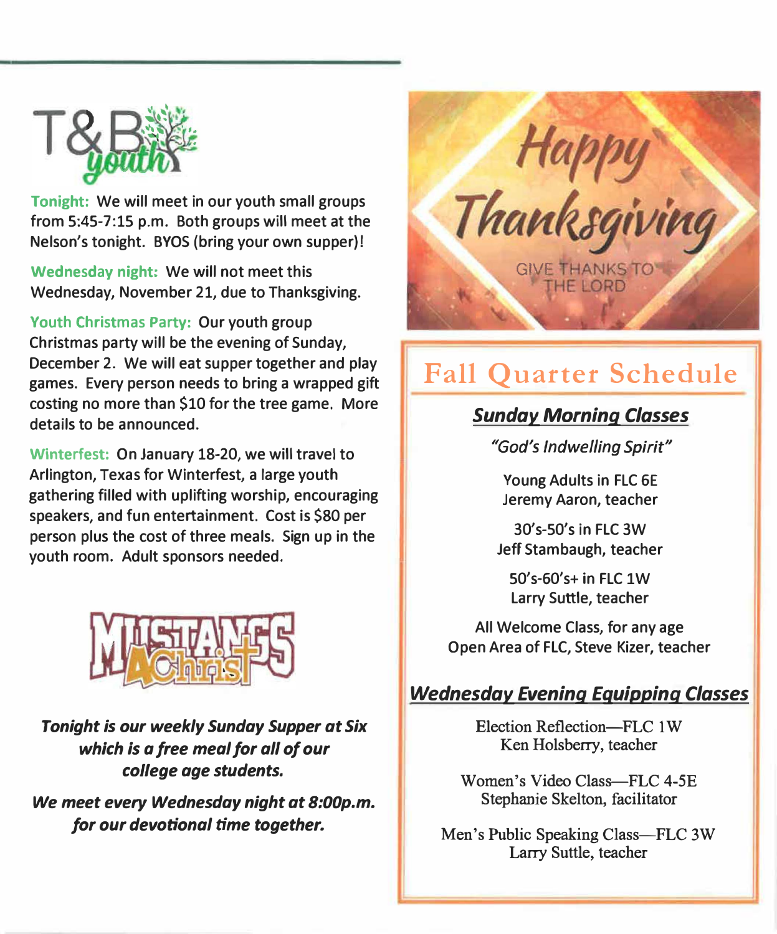

**Tonight: We will meet in our youth small groups from 5:45-7:15 p.m. Both groups will meet at the Nelson's tonight. BYOS (bring your own supper)!** 

**Wednesday night: We will not meet this Wednesday, November 21, due to Thanksgiving.** 

**Youth Christmas Party: Our youth group Christmas party will be the evening of Sunday, December 2. We will eat supper together and play games. Every person needs to bring a wrapped gift costing no more than \$10 for the tree game. More details to be announced.** 

**Winterfest: On January 18-20, we will travel to Arlington, Texas for Winterfest, a large youth gathering filled with uplifting worship, encouraging speakers, and fun entertainment. Cost is \$80 per person plus the cost of three meals. Sign up in the youth room. Adult sponsors needed.** 



*Tonight is our weekly Sunday Supper at Six which is a free meal for all of our college age students.* 

*We meet every Wednesday night at 8:00p.m. for our devotional time together.* 



# **Fall Quarter Schedule**

# *Sunday Morning Classes*

*"God's Indwelling Spirit"* 

**Young Adults in FLC 6E Jeremy Aaron, teacher** 

**30's-50's in FLC 3W Jeff Stambaugh, teacher** 

**50's-60's+ in FLC lW Larry Suttle, teacher** 

**All Welcome Class, for any age Open Area of FLC, Steve Kizer, teacher** 

# *Wednesday Evening Equipping Classes*

Election Reflection-FLC 1 W Ken Holsberry, teacher

Women's Video Class-FLC 4-5E Stephanie Skelton, facilitator

Men's Public Speaking Class-FLC 3W Larry Suttle, teacher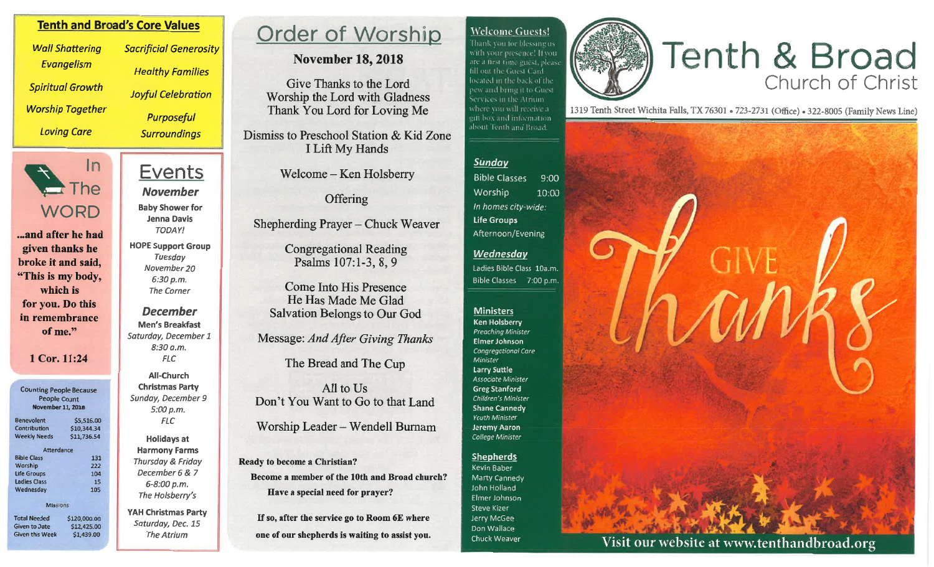## **Tenth and Broad's Core Values**

**Wall Shattering** Evangelism **Spiritual Growth Worship Together Loving Care** 



...and after he had given thanks he broke it and said. "This is my body. which is for you. Do this in remembrance of me."

#### 1 Cor. 11:24

Counting People Because People Count November 11, 2018

| <b>Benevolent</b>   | \$5,516.00  |
|---------------------|-------------|
| Contribution        | \$10,344.34 |
| <b>Weekly Needs</b> | \$11,736.54 |
| Attendance          |             |
| <b>Bible Class</b>  | 131         |
| Worship             | 222         |
| <b>Life Groups</b>  | 104         |
| <b>Ladies Class</b> | 15          |
| Wednesdav           | 105         |
| Mis: sions          |             |

**Total Needed** \$120,000.00 Given to Date \$12,425.00 Given this Week \$1,439.00

**Sacrificial Generosity Healthy Families Joyful Celebration** 

> **Purposeful Surroundings**

# Events **November**

**Baby Shower for** Jenna Davis **TODAY!** 

**HOPE Support Group Tuesday** November 20  $6:30 p.m.$ **The Corner** 

#### **December Men's Breakfast** Saturday, December 1 8:30 a.m. **FLC**

**All-Church Christmas Party** Sunday, December 9  $5:00 p.m.$ **FLC** 

**Holidays at Harmony Farms** Thursday & Friday December 6 & 7 6-8:00 p.m. The Holsberry's

**YAH Christmas Party** Saturday, Dec. 15 The Atrium

# Order of Worship

## **November 18, 2018**

Give Thanks to the Lord Worship the Lord with Gladness Thank You Lord for Loving Me

Dismiss to Preschool Station & Kid Zone I Lift My Hands

Welcome – Ken Holsberry

Offering

Shepherding Prayer – Chuck Weaver

**Congregational Reading** Psalms 107:1-3, 8, 9

**Come Into His Presence** He Has Made Me Glad **Salvation Belongs to Our God** 

Message: And After Giving Thanks

The Bread and The Cup

All to Us Don't You Want to Go to that Land

Worship Leader - Wendell Burnam

Ready to become a Christian? Become a member of the 10th and Broad church? Have a special need for prayer?

If so, after the service go to Room 6E where one of our shepherds is waiting to assist you.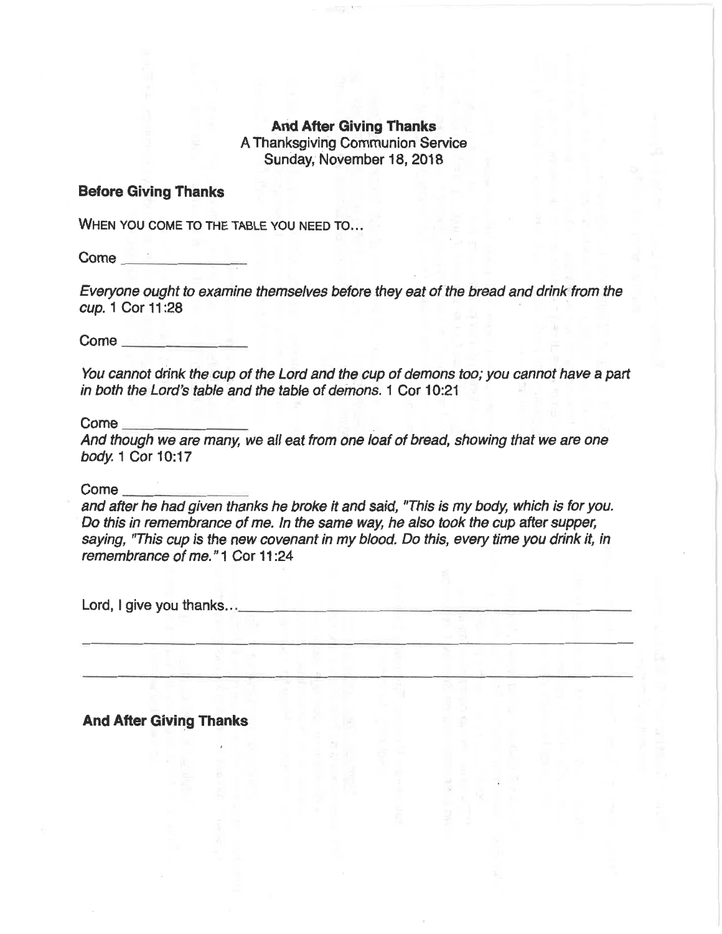## **And After Giving Thanks** A Thanksgiving Communion Service Sunday, November 18, 2018

#### **Before Giving Thanks**

WHEN YOU COME TO THE TABLE YOU NEED TO...

Everyone ought to examine themselves before they eat of the bread and drink from the cup. 1 Cor 11:28

You cannot drink the cup of the Lord and the cup of demons too; you cannot have a part in both the Lord's table and the table of demons. 1 Cor 10:21

 $Come$   $\qquad$ 

And though we are many, we all eat from one loaf of bread, showing that we are one body. 1 Cor 10:17

 $Come$ <sub> $-$ </sub>

and after he had given thanks he broke it and said, "This is my body, which is for you. Do this in remembrance of me. In the same way, he also took the cup after supper, saying, "This cup is the new covenant in my blood. Do this, every time you drink it, in remembrance of me." 1 Cor 11:24

**And After Giving Thanks**